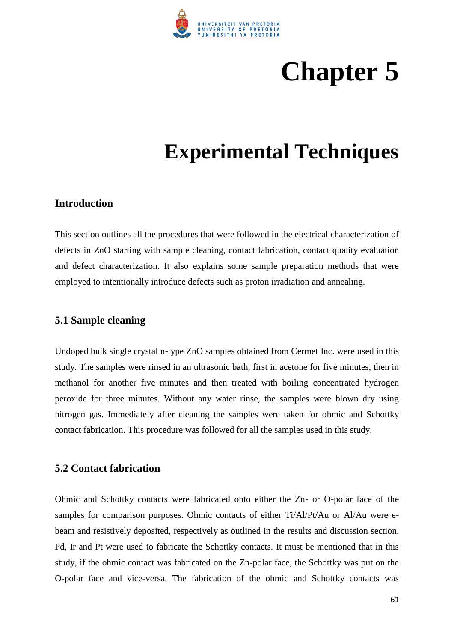

# **Chapter 5**

# **Experimental Techniques**

#### **Introduction**

This section outlines all the procedures that were followed in the electrical characterization of defects in ZnO starting with sample cleaning, contact fabrication, contact quality evaluation and defect characterization. It also explains some sample preparation methods that were employed to intentionally introduce defects such as proton irradiation and annealing.

#### **5.1 Sample cleaning**

Undoped bulk single crystal n-type ZnO samples obtained from Cermet Inc. were used in this study. The samples were rinsed in an ultrasonic bath, first in acetone for five minutes, then in methanol for another five minutes and then treated with boiling concentrated hydrogen peroxide for three minutes. Without any water rinse, the samples were blown dry using nitrogen gas. Immediately after cleaning the samples were taken for ohmic and Schottky contact fabrication. This procedure was followed for all the samples used in this study.

#### **5.2 Contact fabrication**

Ohmic and Schottky contacts were fabricated onto either the Zn- or O-polar face of the samples for comparison purposes. Ohmic contacts of either Ti/Al/Pt/Au or Al/Au were ebeam and resistively deposited, respectively as outlined in the results and discussion section. Pd, Ir and Pt were used to fabricate the Schottky contacts. It must be mentioned that in this study, if the ohmic contact was fabricated on the Zn-polar face, the Schottky was put on the O-polar face and vice-versa. The fabrication of the ohmic and Schottky contacts was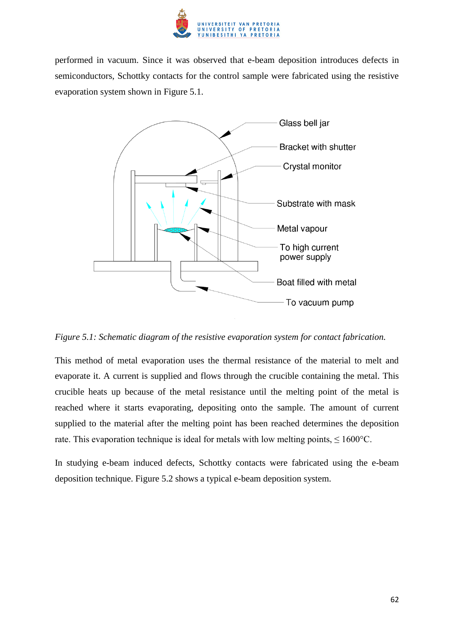

performed in vacuum. Since it was observed that e-beam deposition introduces defects in semiconductors, Schottky contacts for the control sample were fabricated using the resistive evaporation system shown in Figure 5.1.



*Figure 5.1: Schematic diagram of the resistive evaporation system for contact fabrication.* 

This method of metal evaporation uses the thermal resistance of the material to melt and evaporate it. A current is supplied and flows through the crucible containing the metal. This crucible heats up because of the metal resistance until the melting point of the metal is reached where it starts evaporating, depositing onto the sample. The amount of current supplied to the material after the melting point has been reached determines the deposition rate. This evaporation technique is ideal for metals with low melting points,  $\leq 1600^{\circ}$ C.

In studying e-beam induced defects, Schottky contacts were fabricated using the e-beam deposition technique. Figure 5.2 shows a typical e-beam deposition system.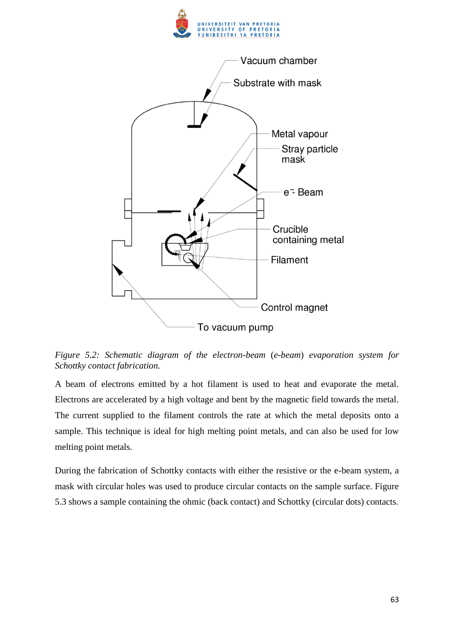



*Figure 5.2: Schematic diagram of the electron-beam* (*e-beam*) *evaporation system for Schottky contact fabrication.* 

A beam of electrons emitted by a hot filament is used to heat and evaporate the metal. Electrons are accelerated by a high voltage and bent by the magnetic field towards the metal. The current supplied to the filament controls the rate at which the metal deposits onto a sample. This technique is ideal for high melting point metals, and can also be used for low melting point metals.

During the fabrication of Schottky contacts with either the resistive or the e-beam system, a mask with circular holes was used to produce circular contacts on the sample surface. Figure 5.3 shows a sample containing the ohmic (back contact) and Schottky (circular dots) contacts.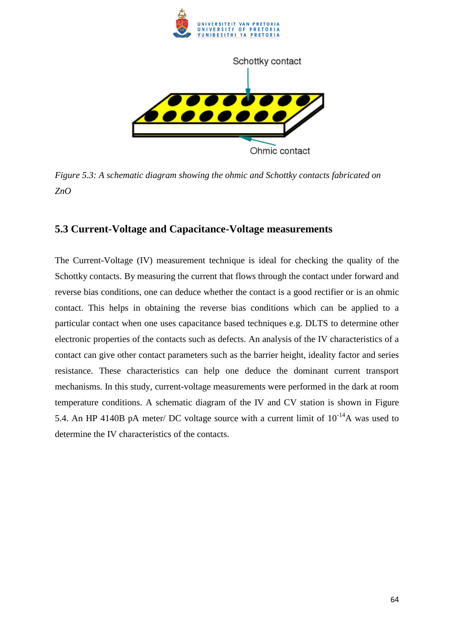

*Figure 5.3: A schematic diagram showing the ohmic and Schottky contacts fabricated on ZnO* 

## **5.3 Current-Voltage and Capacitance-Voltage measurements**

The Current-Voltage (IV) measurement technique is ideal for checking the quality of the Schottky contacts. By measuring the current that flows through the contact under forward and reverse bias conditions, one can deduce whether the contact is a good rectifier or is an ohmic contact. This helps in obtaining the reverse bias conditions which can be applied to a particular contact when one uses capacitance based techniques e.g. DLTS to determine other electronic properties of the contacts such as defects. An analysis of the IV characteristics of a contact can give other contact parameters such as the barrier height, ideality factor and series resistance. These characteristics can help one deduce the dominant current transport mechanisms. In this study, current-voltage measurements were performed in the dark at room temperature conditions. A schematic diagram of the IV and CV station is shown in Figure 5.4. An HP 4140B pA meter/ DC voltage source with a current limit of  $10^{-14}$ A was used to determine the IV characteristics of the contacts.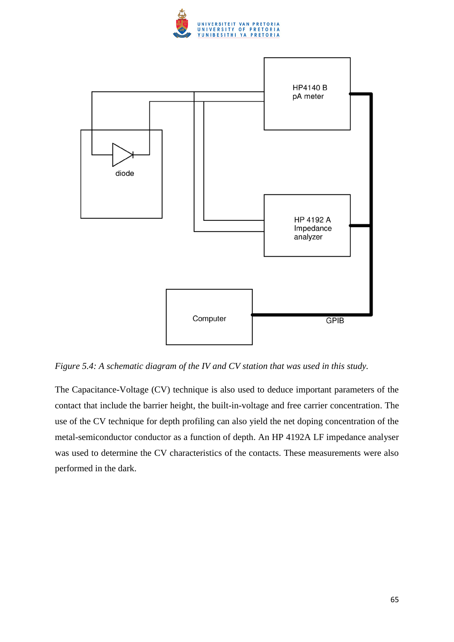



*Figure 5.4: A schematic diagram of the IV and CV station that was used in this study.* 

The Capacitance-Voltage (CV) technique is also used to deduce important parameters of the contact that include the barrier height, the built-in-voltage and free carrier concentration. The use of the CV technique for depth profiling can also yield the net doping concentration of the metal-semiconductor conductor as a function of depth. An HP 4192A LF impedance analyser was used to determine the CV characteristics of the contacts. These measurements were also performed in the dark.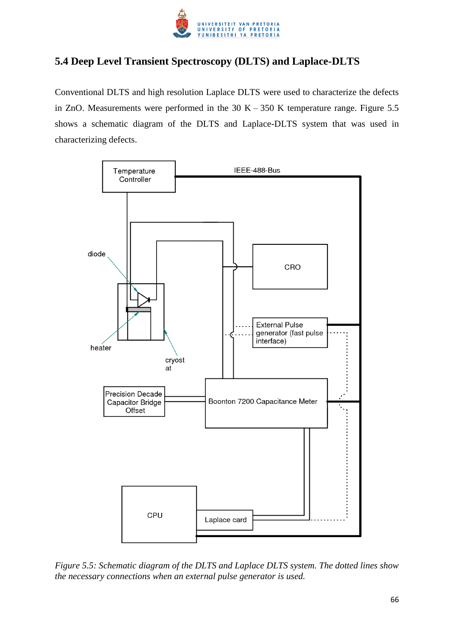

# **5.4 Deep Level Transient Spectroscopy (DLTS) and Laplace-DLTS**

Conventional DLTS and high resolution Laplace DLTS were used to characterize the defects in ZnO. Measurements were performed in the  $30 K - 350 K$  temperature range. Figure 5.5 shows a schematic diagram of the DLTS and Laplace-DLTS system that was used in characterizing defects.



*Figure 5.5: Schematic diagram of the DLTS and Laplace DLTS system. The dotted lines show the necessary connections when an external pulse generator is used.*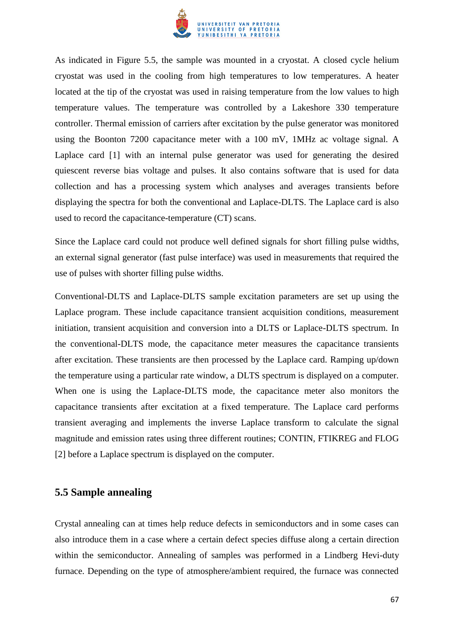

As indicated in Figure 5.5, the sample was mounted in a cryostat. A closed cycle helium cryostat was used in the cooling from high temperatures to low temperatures. A heater located at the tip of the cryostat was used in raising temperature from the low values to high temperature values. The temperature was controlled by a Lakeshore 330 temperature controller. Thermal emission of carriers after excitation by the pulse generator was monitored using the Boonton 7200 capacitance meter with a 100 mV, 1MHz ac voltage signal. A Laplace card [1] with an internal pulse generator was used for generating the desired quiescent reverse bias voltage and pulses. It also contains software that is used for data collection and has a processing system which analyses and averages transients before displaying the spectra for both the conventional and Laplace-DLTS. The Laplace card is also used to record the capacitance-temperature (CT) scans.

Since the Laplace card could not produce well defined signals for short filling pulse widths, an external signal generator (fast pulse interface) was used in measurements that required the use of pulses with shorter filling pulse widths.

Conventional-DLTS and Laplace-DLTS sample excitation parameters are set up using the Laplace program. These include capacitance transient acquisition conditions, measurement initiation, transient acquisition and conversion into a DLTS or Laplace-DLTS spectrum. In the conventional-DLTS mode, the capacitance meter measures the capacitance transients after excitation. These transients are then processed by the Laplace card. Ramping up/down the temperature using a particular rate window, a DLTS spectrum is displayed on a computer. When one is using the Laplace-DLTS mode, the capacitance meter also monitors the capacitance transients after excitation at a fixed temperature. The Laplace card performs transient averaging and implements the inverse Laplace transform to calculate the signal magnitude and emission rates using three different routines; CONTIN, FTIKREG and FLOG [2] before a Laplace spectrum is displayed on the computer.

# **5.5 Sample annealing**

Crystal annealing can at times help reduce defects in semiconductors and in some cases can also introduce them in a case where a certain defect species diffuse along a certain direction within the semiconductor. Annealing of samples was performed in a Lindberg Hevi-duty furnace. Depending on the type of atmosphere/ambient required, the furnace was connected